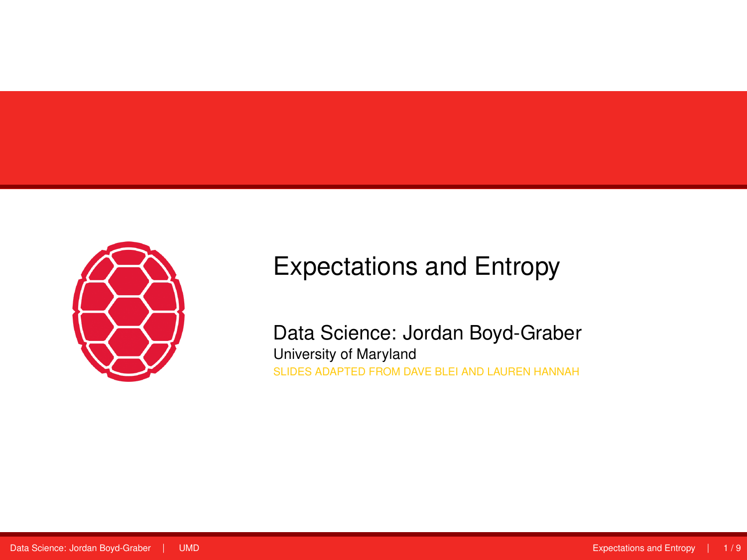<span id="page-0-0"></span>

# Expectations and Entropy

Data Science: Jordan Boyd-Graber University of Maryland SLIDES ADAPTED FROM DAVE BLEI AND LAUREN HANNAH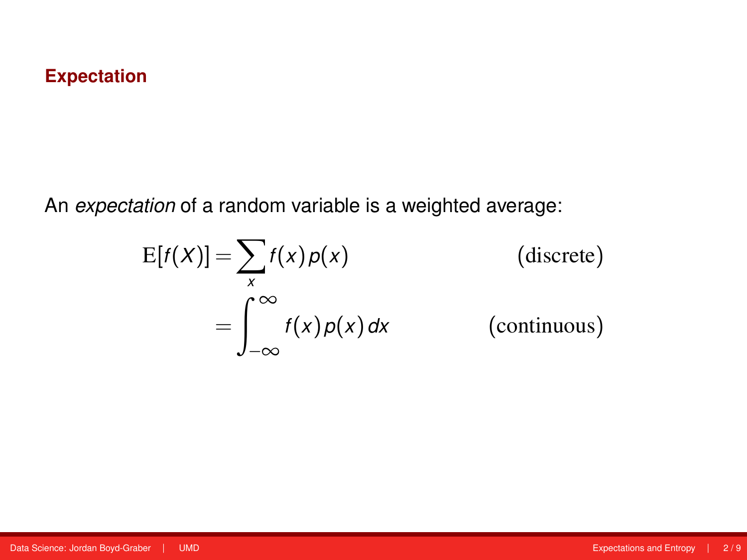## **Expectation**

An *expectation* of a random variable is a weighted average:

$$
E[f(X)] = \sum_{x} f(x) p(x)
$$
 (discrete)  

$$
= \int_{-\infty}^{\infty} f(x) p(x) dx
$$
 (continuous)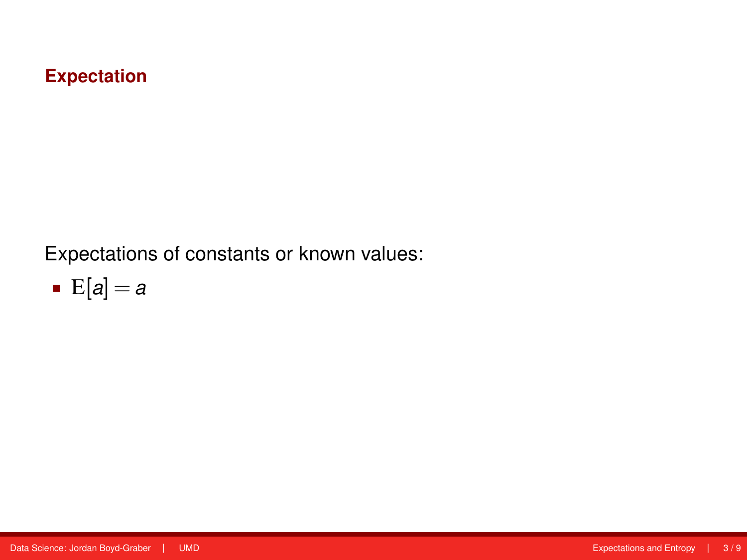## **Expectation**

Expectations of constants or known values:

$$
\bullet \ \mathbf{E}[a] = a
$$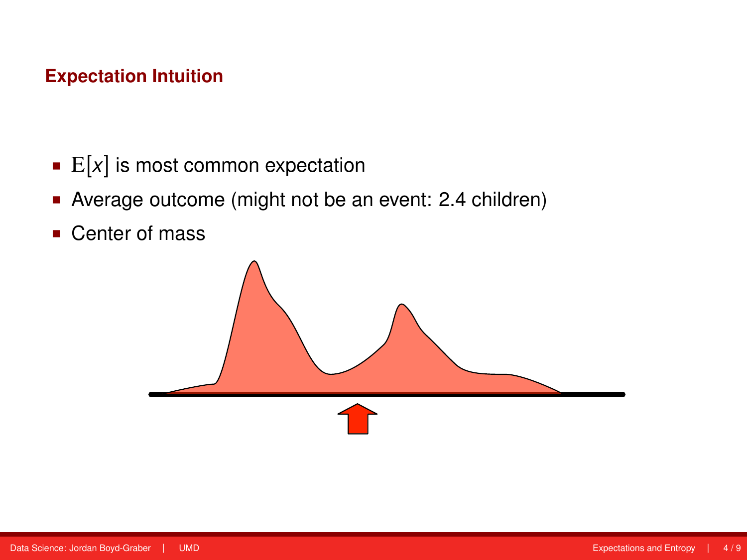# **Expectation Intuition**

- $\mathbb{E}[x]$  is most common expectation
- Average outcome (might not be an event: 2.4 children)
- Center of mass

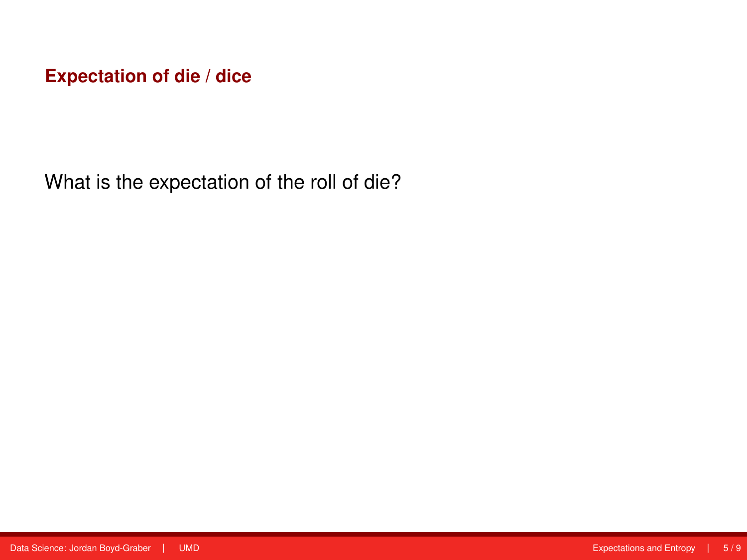What is the expectation of the roll of die?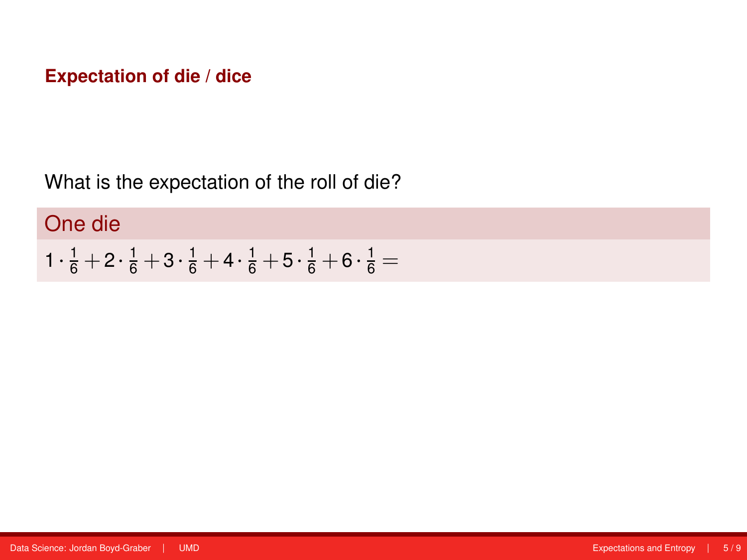What is the expectation of the roll of die?

# One die

$$
1\cdot \tfrac{1}{6} + 2\cdot \tfrac{1}{6} + 3\cdot \tfrac{1}{6} + 4\cdot \tfrac{1}{6} + 5\cdot \tfrac{1}{6} + 6\cdot \tfrac{1}{6} =
$$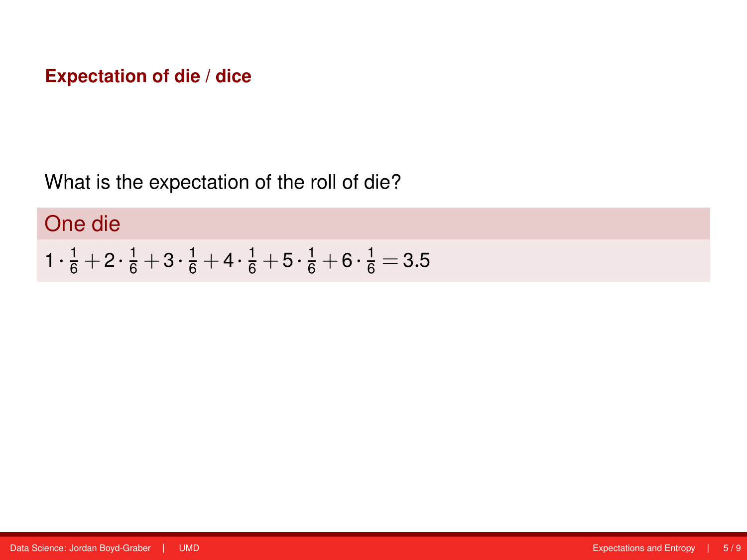What is the expectation of the roll of die?

# One die

$$
1\cdot \tfrac{1}{6} + 2\cdot \tfrac{1}{6} + 3\cdot \tfrac{1}{6} + 4\cdot \tfrac{1}{6} + 5\cdot \tfrac{1}{6} + 6\cdot \tfrac{1}{6} = 3.5
$$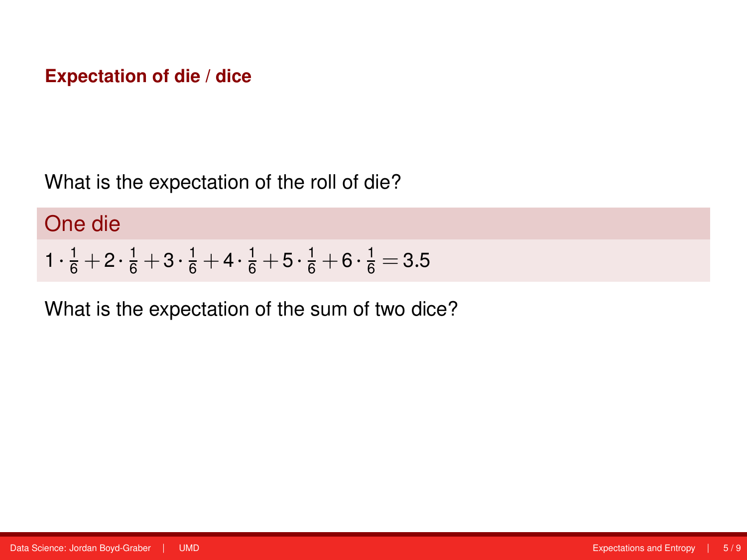What is the expectation of the roll of die?

One die

$$
1\cdot \tfrac{1}{6} + 2\cdot \tfrac{1}{6} + 3\cdot \tfrac{1}{6} + 4\cdot \tfrac{1}{6} + 5\cdot \tfrac{1}{6} + 6\cdot \tfrac{1}{6} = 3.5
$$

What is the expectation of the sum of two dice?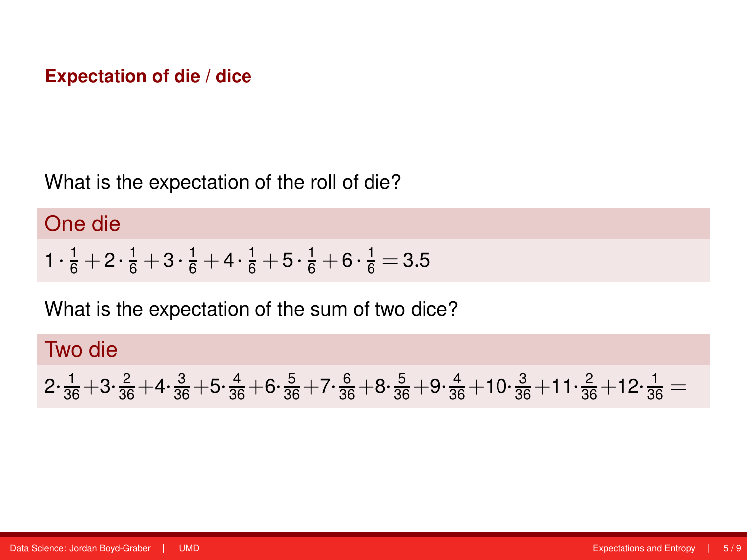What is the expectation of the roll of die?

# One die

$$
1\cdot \tfrac{1}{6} + 2\cdot \tfrac{1}{6} + 3\cdot \tfrac{1}{6} + 4\cdot \tfrac{1}{6} + 5\cdot \tfrac{1}{6} + 6\cdot \tfrac{1}{6} = 3.5
$$

What is the expectation of the sum of two dice?

Two die  $2 \cdot \frac{1}{36} + 3 \cdot \frac{2}{36} + 4 \cdot \frac{3}{36} + 5 \cdot \frac{4}{36} + 6 \cdot \frac{5}{36} + 7 \cdot \frac{6}{36} + 8 \cdot \frac{5}{36} + 9 \cdot \frac{4}{36} + 10 \cdot \frac{3}{36} + 11 \cdot \frac{2}{36} + 12 \cdot \frac{1}{36} =$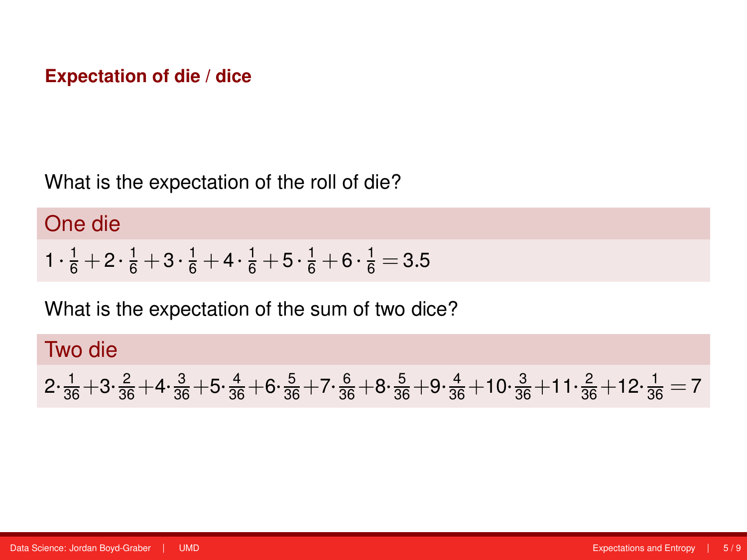What is the expectation of the roll of die?

# One die

$$
1\cdot \tfrac{1}{6} + 2\cdot \tfrac{1}{6} + 3\cdot \tfrac{1}{6} + 4\cdot \tfrac{1}{6} + 5\cdot \tfrac{1}{6} + 6\cdot \tfrac{1}{6} = 3.5
$$

What is the expectation of the sum of two dice?

Two die  $2 \cdot \frac{1}{36} + 3 \cdot \frac{2}{36} + 4 \cdot \frac{3}{36} + 5 \cdot \frac{4}{36} + 6 \cdot \frac{5}{36} + 7 \cdot \frac{6}{36} + 8 \cdot \frac{5}{36} + 9 \cdot \frac{4}{36} + 10 \cdot \frac{3}{36} + 11 \cdot \frac{2}{36} + 12 \cdot \frac{1}{36} = 7$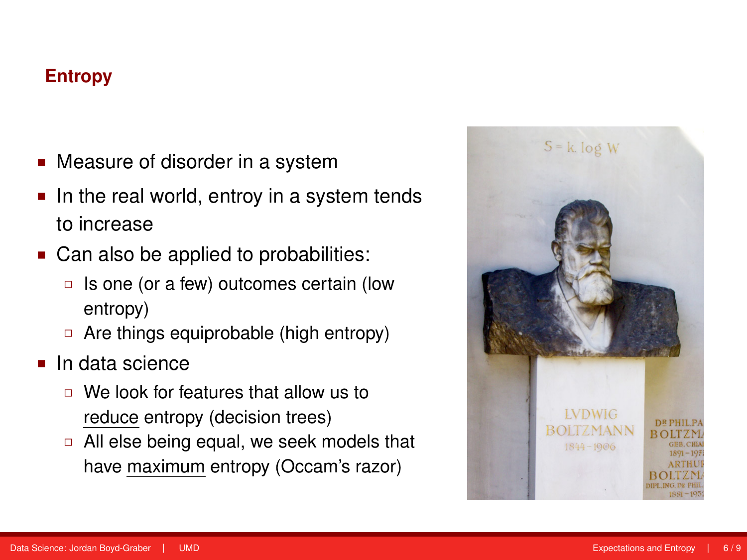# **Entropy**

- Measure of disorder in a system
- In the real world, entroy in a system tends to increase
- Can also be applied to probabilities:
	- $\Box$  Is one (or a few) outcomes certain (low entropy)
	- $\Box$  Are things equiprobable (high entropy)
- In data science
	- We look for features that allow us to reduce entropy (decision trees)
	- □ All else being equal, we seek models that have maximum entropy (Occam's razor)

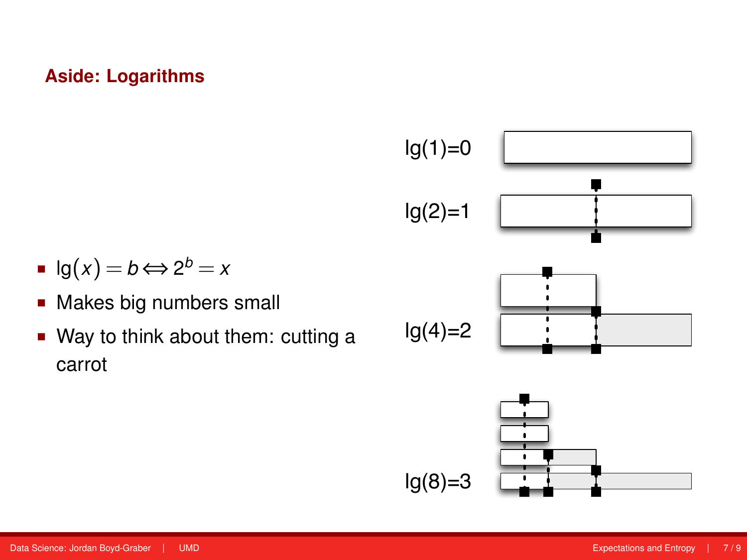# **Aside: Logarithms**



- $lg(x) = b \Leftrightarrow 2^b = x$
- **Makes big numbers small**
- Way to think about them: cutting a carrot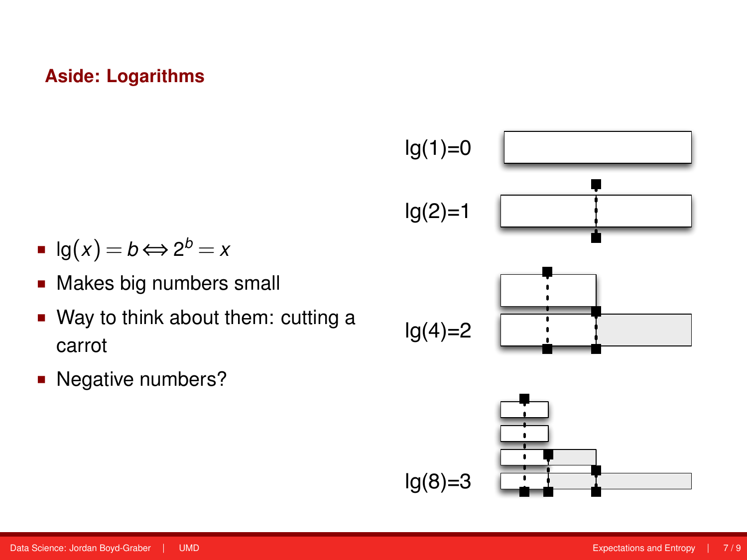### **Aside: Logarithms**



- $lg(x) = b \Leftrightarrow 2^b = x$
- **Makes big numbers small**
- Way to think about them: cutting a carrot
- Negative numbers?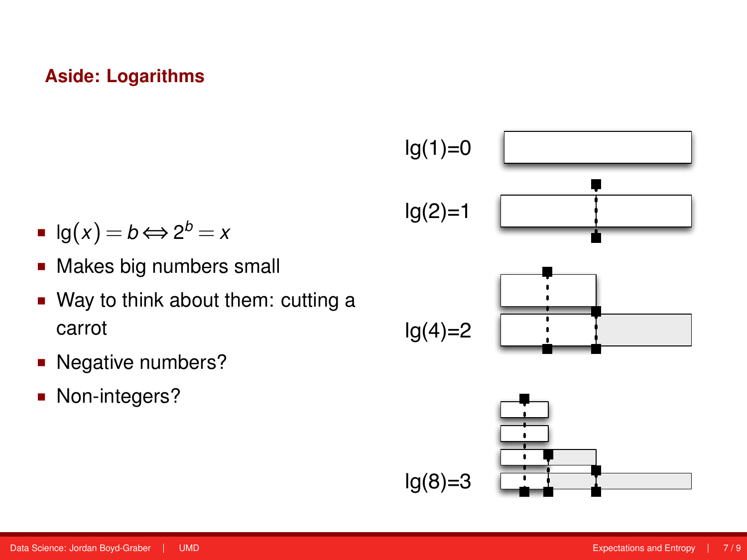### **Aside: Logarithms**



- $lg(x) = b \Leftrightarrow 2^b = x$
- **Makes big numbers small**
- Way to think about them: cutting a carrot
- Negative numbers?
- Non-integers?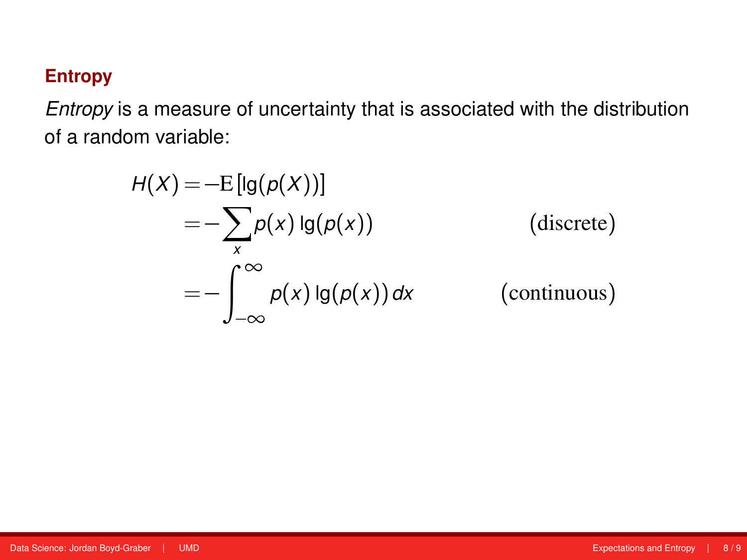# **Entropy**

*Entropy* is a measure of uncertainty that is associated with the distribution of a random variable:

$$
H(X) = -E[lg(p(X))]
$$
  
=  $-\sum_{x} p(x) lg(p(x))$  (discrete)  
=  $-\int_{-\infty}^{\infty} p(x) lg(p(x)) dx$  (continuous)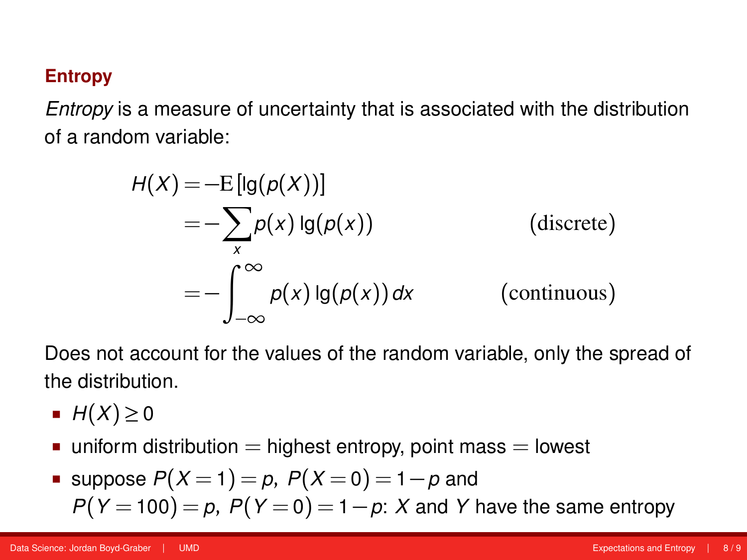### **Entropy**

*Entropy* is a measure of uncertainty that is associated with the distribution of a random variable:

$$
H(X) = -E[lg(p(X))]
$$
  
=  $-\sum_{x} p(x) lg(p(x))$  (discrete)  
=  $-\int_{-\infty}^{\infty} p(x) lg(p(x)) dx$  (continuous)

Does not account for the values of the random variable, only the spread of the distribution.

- $H(X) \geq 0$
- $\blacksquare$  uniform distribution  $=$  highest entropy, point mass  $=$  lowest

Suppose 
$$
P(X = 1) = p
$$
,  $P(X = 0) = 1 - p$  and  
 $P(Y = 100) = p$ ,  $P(Y = 0) = 1 - p$ : X and Y have the same entropy